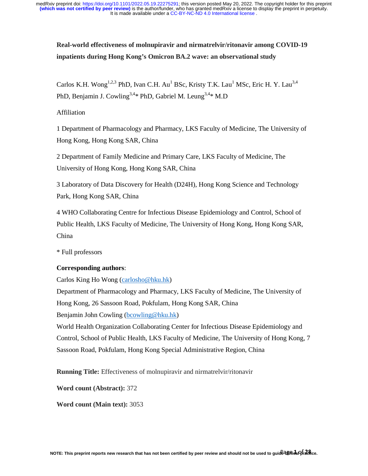# **Real-world effectiveness of molnupiravir and nirmatrelvir/ritonavir among COVID-19 inpatients during Hong Kong's Omicron BA.2 wave: an observational study**

Carlos K.H. Wong<sup>1,2,3</sup> PhD, Ivan C.H. Au<sup>1</sup> BSc, Kristy T.K. Lau<sup>1</sup> MSc, Eric H. Y. Lau<sup>3,4</sup> PhD, Benjamin J. Cowling<sup>3,4\*</sup> PhD, Gabriel M. Leung<sup>3,4\*</sup> M.D

### Affiliation

1 Department of Pharmacology and Pharmacy, LKS Faculty of Medicine, The University of Hong Kong, Hong Kong SAR, China

2 Department of Family Medicine and Primary Care, LKS Faculty of Medicine, The University of Hong Kong, Hong Kong SAR, China

3 Laboratory of Data Discovery for Health (D24H), Hong Kong Science and Technology Park, Hong Kong SAR, China

4 WHO Collaborating Centre for Infectious Disease Epidemiology and Control, School of Public Health, LKS Faculty of Medicine, The University of Hong Kong, Hong Kong SAR, China

\* Full professors

### **Corresponding authors**:

Carlos King Ho Wong (carlosho@hku.hk)

Department of Pharmacology and Pharmacy, LKS Faculty of Medicine, The University of Hong Kong, 26 Sassoon Road, Pokfulam, Hong Kong SAR, China Benjamin John Cowling (bcowling@hku.hk)

World Health Organization Collaborating Center for Infectious Disease Epidemiology and Control, School of Public Health, LKS Faculty of Medicine, The University of Hong Kong, 7 Sassoon Road, Pokfulam, Hong Kong Special Administrative Region, China

**Running Title:** Effectiveness of molnupiravir and nirmatrelvir/ritonavir

**Word count (Abstract):** 372

**Word count (Main text):** 3053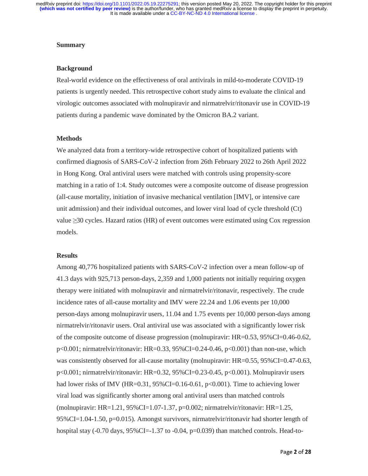#### **Summary**

#### **Background**

Real-world evidence on the effectiveness of oral antivirals in mild-to-moderate COVID-19 patients is urgently needed. This retrospective cohort study aims to evaluate the clinical and virologic outcomes associated with molnupiravir and nirmatrelvir/ritonavir use in COVID-19 patients during a pandemic wave dominated by the Omicron BA.2 variant.

### **Methods**

We analyzed data from a territory-wide retrospective cohort of hospitalized patients with confirmed diagnosis of SARS-CoV-2 infection from 26th February 2022 to 26th April 2022 in Hong Kong. Oral antiviral users were matched with controls using propensity-score matching in a ratio of 1:4. Study outcomes were a composite outcome of disease progression (all-cause mortality, initiation of invasive mechanical ventilation [IMV], or intensive care unit admission) and their individual outcomes, and lower viral load of cycle threshold (Ct) value ≥30 cycles. Hazard ratios (HR) of event outcomes were estimated using Cox regression models.

#### **Results**

Among 40,776 hospitalized patients with SARS-CoV-2 infection over a mean follow-up of 41.3 days with 925,713 person-days, 2,359 and 1,000 patients not initially requiring oxygen therapy were initiated with molnupiravir and nirmatrelvir/ritonavir, respectively. The crude incidence rates of all-cause mortality and IMV were 22.24 and 1.06 events per 10,000 person-days among molnupiravir users, 11.04 and 1.75 events per 10,000 person-days among nirmatrelvir/ritonavir users. Oral antiviral use was associated with a significantly lower risk of the composite outcome of disease progression (molnupiravir: HR=0.53, 95%CI=0.46-0.62, p<0.001; nirmatrelvir/ritonavir: HR=0.33, 95%CI=0.24-0.46, p<0.001) than non-use, which was consistently observed for all-cause mortality (molnupiravir: HR=0.55, 95%CI=0.47-0.63, p<0.001; nirmatrelvir/ritonavir: HR=0.32, 95%CI=0.23-0.45, p<0.001). Molnupiravir users had lower risks of IMV (HR=0.31,  $95\%$ CI=0.16-0.61, p<0.001). Time to achieving lower viral load was significantly shorter among oral antiviral users than matched controls (molnupiravir: HR=1.21, 95%CI=1.07-1.37, p=0.002; nirmatrelvir/ritonavir: HR=1.25, 95%CI=1.04-1.50, p=0.015). Amongst survivors, nirmatrelvir/ritonavir had shorter length of hospital stay  $(-0.70 \text{ days}, 95\% \text{ CI} = 1.37 \text{ to } -0.04, p=0.039)$  than matched controls. Head-to-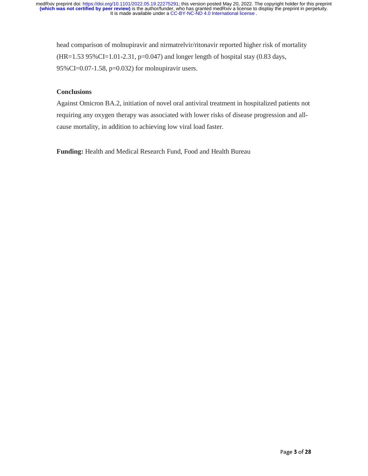head comparison of molnupiravir and nirmatrelvir/ritonavir reported higher risk of mortality  $(HR=1.53 95\% CI=1.01-2.31, p=0.047)$  and longer length of hospital stay (0.83 days, 95%CI=0.07-1.58, p=0.032) for molnupiravir users.

### **Conclusions**

Against Omicron BA.2, initiation of novel oral antiviral treatment in hospitalized patients not requiring any oxygen therapy was associated with lower risks of disease progression and allcause mortality, in addition to achieving low viral load faster.

**Funding:** Health and Medical Research Fund, Food and Health Bureau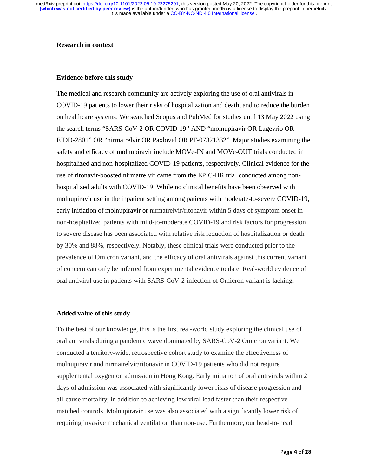#### **Research in context**

#### **Evidence before this study**

The medical and research community are actively exploring the use of oral antivirals in COVID-19 patients to lower their risks of hospitalization and death, and to reduce the burden on healthcare systems. We searched Scopus and PubMed for studies until 13 May 2022 using the search terms "SARS-CoV-2 OR COVID-19" AND "molnupiravir OR Lagevrio OR EIDD-2801" OR "nirmatrelvir OR Paxlovid OR PF-07321332". Major studies examining the safety and efficacy of molnupiravir include MOVe-IN and MOVe-OUT trials conducted in hospitalized and non-hospitalized COVID-19 patients, respectively. Clinical evidence for the use of ritonavir-boosted nirmatrelvir came from the EPIC-HR trial conducted among nonhospitalized adults with COVID-19. While no clinical benefits have been observed with molnupiravir use in the inpatient setting among patients with moderate-to-severe COVID-19, early initiation of molnupiravir or nirmatrelvir/ritonavir within 5 days of symptom onset in non-hospitalized patients with mild-to-moderate COVID-19 and risk factors for progression to severe disease has been associated with relative risk reduction of hospitalization or death by 30% and 88%, respectively. Notably, these clinical trials were conducted prior to the prevalence of Omicron variant, and the efficacy of oral antivirals against this current variant of concern can only be inferred from experimental evidence to date. Real-world evidence of oral antiviral use in patients with SARS-CoV-2 infection of Omicron variant is lacking.

#### **Added value of this study**

To the best of our knowledge, this is the first real-world study exploring the clinical use of oral antivirals during a pandemic wave dominated by SARS-CoV-2 Omicron variant. We conducted a territory-wide, retrospective cohort study to examine the effectiveness of molnupiravir and nirmatrelvir/ritonavir in COVID-19 patients who did not require supplemental oxygen on admission in Hong Kong. Early initiation of oral antivirals within 2 days of admission was associated with significantly lower risks of disease progression and all-cause mortality, in addition to achieving low viral load faster than their respective matched controls. Molnupiravir use was also associated with a significantly lower risk of requiring invasive mechanical ventilation than non-use. Furthermore, our head-to-head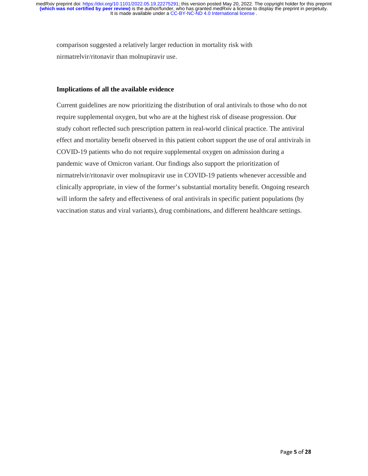comparison suggested a relatively larger reduction in mortality risk with nirmatrelvir/ritonavir than molnupiravir use.

### **Implications of all the available evidence**

Current guidelines are now prioritizing the distribution of oral antivirals to those who do not require supplemental oxygen, but who are at the highest risk of disease progression. Our study cohort reflected such prescription pattern in real-world clinical practice. The antiviral effect and mortality benefit observed in this patient cohort support the use of oral antivirals in COVID-19 patients who do not require supplemental oxygen on admission during a pandemic wave of Omicron variant. Our findings also support the prioritization of nirmatrelvir/ritonavir over molnupiravir use in COVID-19 patients whenever accessible and clinically appropriate, in view of the former's substantial mortality benefit. Ongoing research will inform the safety and effectiveness of oral antivirals in specific patient populations (by vaccination status and viral variants), drug combinations, and different healthcare settings.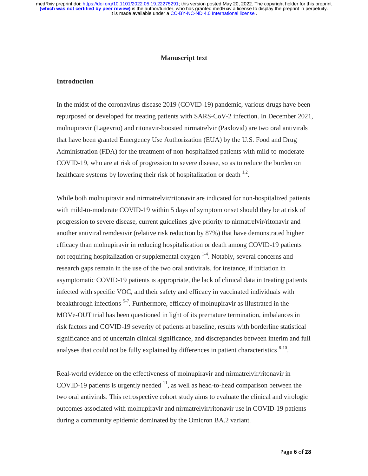#### **Manuscript text**

#### **Introduction**

In the midst of the coronavirus disease 2019 (COVID-19) pandemic, various drugs have been repurposed or developed for treating patients with SARS-CoV-2 infection. In December 2021, molnupiravir (Lagevrio) and ritonavir-boosted nirmatrelvir (Paxlovid) are two oral antivirals that have been granted Emergency Use Authorization (EUA) by the U.S. Food and Drug Administration (FDA) for the treatment of non-hospitalized patients with mild-to-moderate COVID-19, who are at risk of progression to severe disease, so as to reduce the burden on healthcare systems by lowering their risk of hospitalization or death  $1/2$ .

While both molnupiravir and nirmatrelvir/ritonavir are indicated for non-hospitalized patients with mild-to-moderate COVID-19 within 5 days of symptom onset should they be at risk of progression to severe disease, current guidelines give priority to nirmatrelvir/ritonavir and another antiviral remdesivir (relative risk reduction by 87%) that have demonstrated higher efficacy than molnupiravir in reducing hospitalization or death among COVID-19 patients not requiring hospitalization or supplemental oxygen  $1-4$ . Notably, several concerns and research gaps remain in the use of the two oral antivirals, for instance, if initiation in asymptomatic COVID-19 patients is appropriate, the lack of clinical data in treating patients infected with specific VOC, and their safety and efficacy in vaccinated individuals with breakthrough infections  $5-7$ . Furthermore, efficacy of molnupiravir as illustrated in the MOVe-OUT trial has been questioned in light of its premature termination, imbalances in risk factors and COVID-19 severity of patients at baseline, results with borderline statistical significance and of uncertain clinical significance, and discrepancies between interim and full analyses that could not be fully explained by differences in patient characteristics  $8-10$ .

Real-world evidence on the effectiveness of molnupiravir and nirmatrelvir/ritonavir in COVID-19 patients is urgently needed  $<sup>11</sup>$ , as well as head-to-head comparison between the</sup> two oral antivirals. This retrospective cohort study aims to evaluate the clinical and virologic outcomes associated with molnupiravir and nirmatrelvir/ritonavir use in COVID-19 patients during a community epidemic dominated by the Omicron BA.2 variant.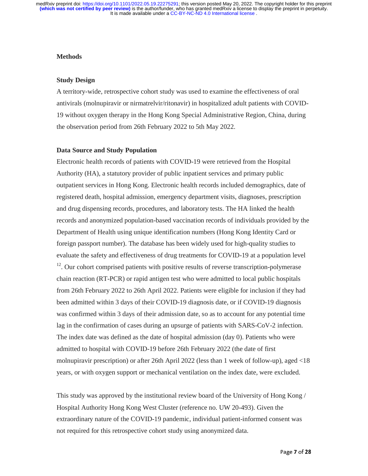#### **Methods**

#### **Study Design**

A territory-wide, retrospective cohort study was used to examine the effectiveness of oral antivirals (molnupiravir or nirmatrelvir/ritonavir) in hospitalized adult patients with COVID-19 without oxygen therapy in the Hong Kong Special Administrative Region, China, during the observation period from 26th February 2022 to 5th May 2022.

#### **Data Source and Study Population**

Electronic health records of patients with COVID-19 were retrieved from the Hospital Authority (HA), a statutory provider of public inpatient services and primary public outpatient services in Hong Kong. Electronic health records included demographics, date of registered death, hospital admission, emergency department visits, diagnoses, prescription and drug dispensing records, procedures, and laboratory tests. The HA linked the health records and anonymized population-based vaccination records of individuals provided by the Department of Health using unique identification numbers (Hong Kong Identity Card or foreign passport number). The database has been widely used for high-quality studies to evaluate the safety and effectiveness of drug treatments for COVID-19 at a population level <sup>12</sup>. Our cohort comprised patients with positive results of reverse transcription-polymerase chain reaction (RT-PCR) or rapid antigen test who were admitted to local public hospitals from 26th February 2022 to 26th April 2022. Patients were eligible for inclusion if they had been admitted within 3 days of their COVID-19 diagnosis date, or if COVID-19 diagnosis was confirmed within 3 days of their admission date, so as to account for any potential time lag in the confirmation of cases during an upsurge of patients with SARS-CoV-2 infection. The index date was defined as the date of hospital admission (day 0). Patients who were admitted to hospital with COVID-19 before 26th February 2022 (the date of first molnupiravir prescription) or after 26th April 2022 (less than 1 week of follow-up), aged <18 years, or with oxygen support or mechanical ventilation on the index date, were excluded.

This study was approved by the institutional review board of the University of Hong Kong / Hospital Authority Hong Kong West Cluster (reference no. UW 20-493). Given the extraordinary nature of the COVID-19 pandemic, individual patient-informed consent was not required for this retrospective cohort study using anonymized data.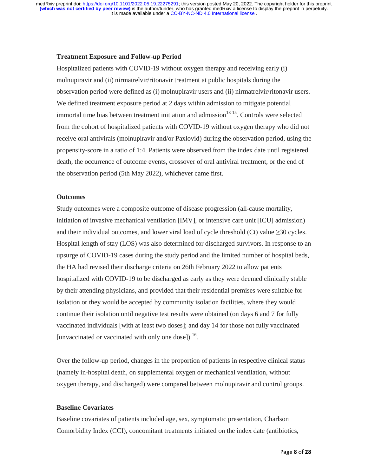#### **Treatment Exposure and Follow-up Period**

Hospitalized patients with COVID-19 without oxygen therapy and receiving early (i) molnupiravir and (ii) nirmatrelvir/ritonavir treatment at public hospitals during the observation period were defined as (i) molnupiravir users and (ii) nirmatrelvir/ritonavir users. We defined treatment exposure period at 2 days within admission to mitigate potential immortal time bias between treatment initiation and admission $13-15$ . Controls were selected from the cohort of hospitalized patients with COVID-19 without oxygen therapy who did not receive oral antivirals (molnupiravir and/or Paxlovid) during the observation period, using the propensity-score in a ratio of 1:4. Patients were observed from the index date until registered death, the occurrence of outcome events, crossover of oral antiviral treatment, or the end of the observation period (5th May 2022), whichever came first.

#### **Outcomes**

Study outcomes were a composite outcome of disease progression (all-cause mortality, initiation of invasive mechanical ventilation [IMV], or intensive care unit [ICU] admission) and their individual outcomes, and lower viral load of cycle threshold (Ct) value  $\geq 30$  cycles. Hospital length of stay (LOS) was also determined for discharged survivors. In response to an upsurge of COVID-19 cases during the study period and the limited number of hospital beds, the HA had revised their discharge criteria on 26th February 2022 to allow patients hospitalized with COVID-19 to be discharged as early as they were deemed clinically stable by their attending physicians, and provided that their residential premises were suitable for isolation or they would be accepted by community isolation facilities, where they would continue their isolation until negative test results were obtained (on days 6 and 7 for fully vaccinated individuals [with at least two doses]; and day 14 for those not fully vaccinated [unvaccinated or vaccinated with only one dose]) <sup>16</sup>.

Over the follow-up period, changes in the proportion of patients in respective clinical status (namely in-hospital death, on supplemental oxygen or mechanical ventilation, without oxygen therapy, and discharged) were compared between molnupiravir and control groups.

#### **Baseline Covariates**

Baseline covariates of patients included age, sex, symptomatic presentation, Charlson Comorbidity Index (CCI), concomitant treatments initiated on the index date (antibiotics,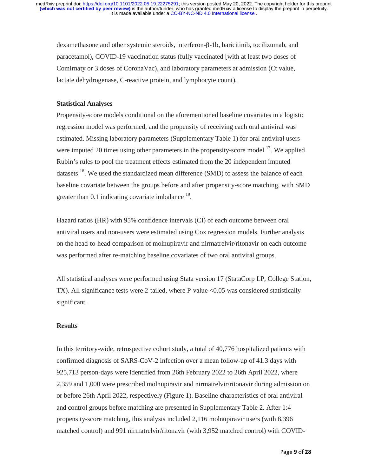dexamethasone and other systemic steroids, interferon-β-1b, baricitinib, tocilizumab, and paracetamol), COVID-19 vaccination status (fully vaccinated [with at least two doses ofComirnaty or 3 doses of CoronaVac), and laboratory parameters at admission (Ct value, lactate dehydrogenase, C-reactive protein, and lymphocyte count).

#### **Statistical Analyses**

Propensity-score models conditional on the aforementioned baseline covariates in a logistic regression model was performed, and the propensity of receiving each oral antiviral was estimated. Missing laboratory parameters (Supplementary Table 1) for oral antiviral users were imputed 20 times using other parameters in the propensity-score model  $17$ . We applied Rubin's rules to pool the treatment effects estimated from the 20 independent imputed datasets  $^{18}$ . We used the standardized mean difference (SMD) to assess the balance of each baseline covariate between the groups before and after propensity-score matching, with SMD greater than  $0.1$  indicating covariate imbalance  $^{19}$ .

Hazard ratios (HR) with 95% confidence intervals (CI) of each outcome between oral antiviral users and non-users were estimated using Cox regression models. Further analysis on the head-to-head comparison of molnupiravir and nirmatrelvir/ritonavir on each outcome was performed after re-matching baseline covariates of two oral antiviral groups.

All statistical analyses were performed using Stata version 17 (StataCorp LP, College Station, TX). All significance tests were 2-tailed, where P-value <0.05 was considered statistically significant.

#### **Results**

In this territory-wide, retrospective cohort study, a total of 40,776 hospitalized patients with confirmed diagnosis of SARS-CoV-2 infection over a mean follow-up of 41.3 days with 925,713 person-days were identified from 26th February 2022 to 26th April 2022, where 2,359 and 1,000 were prescribed molnupiravir and nirmatrelvir/ritonavir during admission on or before 26th April 2022, respectively (Figure 1). Baseline characteristics of oral antiviral and control groups before matching are presented in Supplementary Table 2. After 1:4 propensity-score matching, this analysis included 2,116 molnupiravir users (with 8,396 matched control) and 991 nirmatrelvir/ritonavir (with 3,952 matched control) with COVID-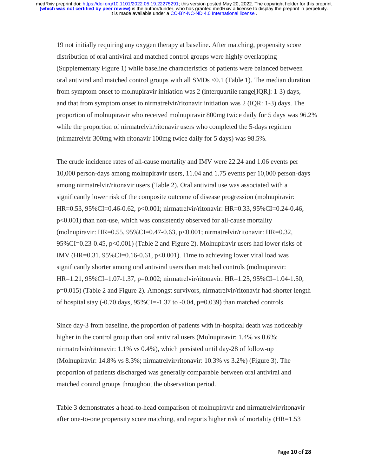19 not initially requiring any oxygen therapy at baseline. After matching, propensity score distribution of oral antiviral and matched control groups were highly overlapping (Supplementary Figure 1) while baseline characteristics of patients were balanced between oral antiviral and matched control groups with all SMDs <0.1 (Table 1). The median duration from symptom onset to molnupiravir initiation was 2 (interquartile range[IQR]: 1-3) days, and that from symptom onset to nirmatrelvir/ritonavir initiation was 2 (IQR: 1-3) days. The proportion of molnupiravir who received molnupiravir 800mg twice daily for 5 days was 96.2% while the proportion of nirmatrelvir/ritonavir users who completed the 5-days regimen (nirmatrelvir 300mg with ritonavir 100mg twice daily for 5 days) was 98.5%.

The crude incidence rates of all-cause mortality and IMV were 22.24 and 1.06 events per 10,000 person-days among molnupiravir users, 11.04 and 1.75 events per 10,000 person-days among nirmatrelvir/ritonavir users (Table 2). Oral antiviral use was associated with a significantly lower risk of the composite outcome of disease progression (molnupiravir: HR=0.53, 95%CI=0.46-0.62, p<0.001; nirmatrelvir/ritonavir: HR=0.33, 95%CI=0.24-0.46, p<0.001) than non-use, which was consistently observed for all-cause mortality (molnupiravir: HR=0.55, 95%CI=0.47-0.63, p<0.001; nirmatrelvir/ritonavir: HR=0.32, 95%CI=0.23-0.45, p<0.001) (Table 2 and Figure 2). Molnupiravir users had lower risks of IMV (HR= $0.31$ , 95%CI= $0.16$ - $0.61$ , p< $0.001$ ). Time to achieving lower viral load was significantly shorter among oral antiviral users than matched controls (molnupiravir: HR=1.21, 95%CI=1.07-1.37, p=0.002; nirmatrelvir/ritonavir: HR=1.25, 95%CI=1.04-1.50, p=0.015) (Table 2 and Figure 2). Amongst survivors, nirmatrelvir/ritonavir had shorter length of hospital stay  $(-0.70 \text{ days}, 95\%CI = -1.37 \text{ to } -0.04, p=0.039)$  than matched controls.

Since day-3 from baseline, the proportion of patients with in-hospital death was noticeably higher in the control group than oral antiviral users (Molnupiravir: 1.4% vs 0.6%; nirmatrelvir/ritonavir: 1.1% vs 0.4%), which persisted until day-28 of follow-up (Molnupiravir: 14.8% vs 8.3%; nirmatrelvir/ritonavir: 10.3% vs 3.2%) (Figure 3). The proportion of patients discharged was generally comparable between oral antiviral and matched control groups throughout the observation period.

Table 3 demonstrates a head-to-head comparison of molnupiravir and nirmatrelvir/ritonavir after one-to-one propensity score matching, and reports higher risk of mortality (HR=1.53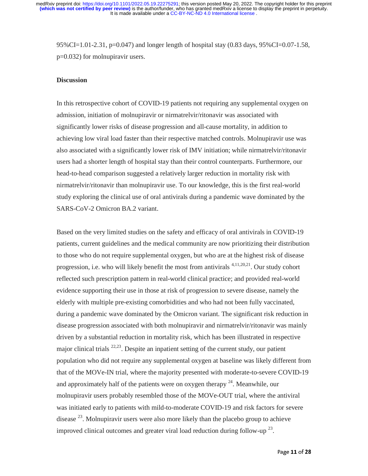95%CI=1.01-2.31, p=0.047) and longer length of hospital stay (0.83 days, 95%CI=0.07-1.58, p=0.032) for molnupiravir users.

#### **Discussion**

In this retrospective cohort of COVID-19 patients not requiring any supplemental oxygen on admission, initiation of molnupiravir or nirmatrelvir/ritonavir was associated with significantly lower risks of disease progression and all-cause mortality, in addition to achieving low viral load faster than their respective matched controls. Molnupiravir use was also associated with a significantly lower risk of IMV initiation; while nirmatrelvir/ritonavir users had a shorter length of hospital stay than their control counterparts. Furthermore, our head-to-head comparison suggested a relatively larger reduction in mortality risk with nirmatrelvir/ritonavir than molnupiravir use. To our knowledge, this is the first real-world study exploring the clinical use of oral antivirals during a pandemic wave dominated by the SARS-CoV-2 Omicron BA.2 variant.

Based on the very limited studies on the safety and efficacy of oral antivirals in COVID-19 patients, current guidelines and the medical community are now prioritizing their distribution to those who do not require supplemental oxygen, but who are at the highest risk of disease progression, i.e. who will likely benefit the most from antivirals 4,11,20,21. Our study cohort reflected such prescription pattern in real-world clinical practice; and provided real-world evidence supporting their use in those at risk of progression to severe disease, namely the elderly with multiple pre-existing comorbidities and who had not been fully vaccinated, during a pandemic wave dominated by the Omicron variant. The significant risk reduction in disease progression associated with both molnupiravir and nirmatrelvir/ritonavir was mainly driven by a substantial reduction in mortality risk, which has been illustrated in respective major clinical trials  $^{22,23}$ . Despite an inpatient setting of the current study, our patient population who did not require any supplemental oxygen at baseline was likely different from that of the MOVe-IN trial, where the majority presented with moderate-to-severe COVID-19 and approximately half of the patients were on oxygen therapy  $^{24}$ . Meanwhile, our molnupiravir users probably resembled those of the MOVe-OUT trial, where the antiviral was initiated early to patients with mild-to-moderate COVID-19 and risk factors for severe disease  $^{23}$ . Molnupiravir users were also more likely than the placebo group to achieve improved clinical outcomes and greater viral load reduction during follow-up  $^{23}$ .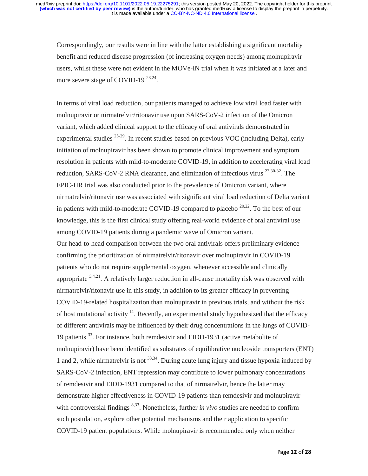Correspondingly, our results were in line with the latter establishing a significant mortality benefit and reduced disease progression (of increasing oxygen needs) among molnupiravir users, whilst these were not evident in the MOVe-IN trial when it was initiated at a later and more severe stage of COVID-19<sup>23,24</sup>.

In terms of viral load reduction, our patients managed to achieve low viral load faster with molnupiravir or nirmatrelvir/ritonavir use upon SARS-CoV-2 infection of the Omicron variant, which added clinical support to the efficacy of oral antivirals demonstrated in experimental studies  $25-29$ . In recent studies based on previous VOC (including Delta), early initiation of molnupiravir has been shown to promote clinical improvement and symptom resolution in patients with mild-to-moderate COVID-19, in addition to accelerating viral load reduction, SARS-CoV-2 RNA clearance, and elimination of infectious virus  $^{23,30-32}$ . The EPIC-HR trial was also conducted prior to the prevalence of Omicron variant, where nirmatrelvir/ritonavir use was associated with significant viral load reduction of Delta variant in patients with mild-to-moderate COVID-19 compared to placebo  $20,22$ . To the best of our knowledge, this is the first clinical study offering real-world evidence of oral antiviral use among COVID-19 patients during a pandemic wave of Omicron variant. Our head-to-head comparison between the two oral antivirals offers preliminary evidence confirming the prioritization of nirmatrelvir/ritonavir over molnupiravir in COVID-19 patients who do not require supplemental oxygen, whenever accessible and clinically appropriate  $3,4,21$ . A relatively larger reduction in all-cause mortality risk was observed with nirmatrelvir/ritonavir use in this study, in addition to its greater efficacy in preventing COVID-19-related hospitalization than molnupiravir in previous trials, and without the risk of host mutational activity  $11$ . Recently, an experimental study hypothesized that the efficacy of different antivirals may be influenced by their drug concentrations in the lungs of COVID-19 patients 33. For instance, both remdesivir and EIDD-1931 (active metabolite of molnupiravir) have been identified as substrates of equilibrative nucleoside transporters (ENT) 1 and 2, while nirmatrelvir is not  $^{33,34}$ . During acute lung injury and tissue hypoxia induced by SARS-CoV-2 infection, ENT repression may contribute to lower pulmonary concentrations of remdesivir and EIDD-1931 compared to that of nirmatrelvir, hence the latter may demonstrate higher effectiveness in COVID-19 patients than remdesivir and molnupiravir with controversial findings <sup>8,33</sup>. Nonetheless, further *in vivo* studies are needed to confirm such postulation, explore other potential mechanisms and their application to specific COVID-19 patient populations. While molnupiravir is recommended only when neither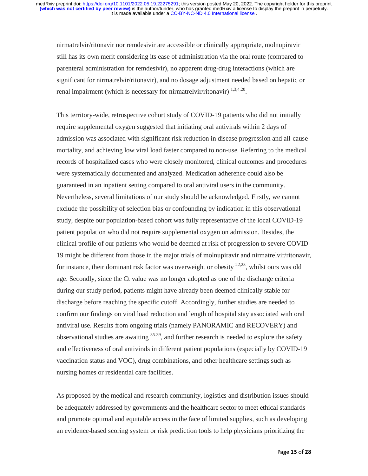nirmatrelvir/ritonavir nor remdesivir are accessible or clinically appropriate, molnupiravir still has its own merit considering its ease of administration via the oral route (compared to parenteral administration for remdesivir), no apparent drug-drug interactions (which are significant for nirmatrelvir/ritonavir), and no dosage adjustment needed based on hepatic or renal impairment (which is necessary for nirmatrelvir/ritonavir)  $^{1,3,4,20}$ .

This territory-wide, retrospective cohort study of COVID-19 patients who did not initially require supplemental oxygen suggested that initiating oral antivirals within 2 days of admission was associated with significant risk reduction in disease progression and all-cause mortality, and achieving low viral load faster compared to non-use. Referring to the medical records of hospitalized cases who were closely monitored, clinical outcomes and procedures were systematically documented and analyzed. Medication adherence could also be guaranteed in an inpatient setting compared to oral antiviral users in the community. Nevertheless, several limitations of our study should be acknowledged. Firstly, we cannot exclude the possibility of selection bias or confounding by indication in this observational study, despite our population-based cohort was fully representative of the local COVID-19 patient population who did not require supplemental oxygen on admission. Besides, the clinical profile of our patients who would be deemed at risk of progression to severe COVID-19 might be different from those in the major trials of molnupiravir and nirmatrelvir/ritonavir, for instance, their dominant risk factor was overweight or obesity <sup>22,23</sup>, whilst ours was old age. Secondly, since the Ct value was no longer adopted as one of the discharge criteria during our study period, patients might have already been deemed clinically stable for discharge before reaching the specific cutoff. Accordingly, further studies are needed to confirm our findings on viral load reduction and length of hospital stay associated with oral antiviral use. Results from ongoing trials (namely PANORAMIC and RECOVERY) and observational studies are awaiting  $35-39$ , and further research is needed to explore the safety and effectiveness of oral antivirals in different patient populations (especially by COVID-19 vaccination status and VOC), drug combinations, and other healthcare settings such as nursing homes or residential care facilities.

As proposed by the medical and research community, logistics and distribution issues should be adequately addressed by governments and the healthcare sector to meet ethical standards and promote optimal and equitable access in the face of limited supplies, such as developing an evidence-based scoring system or risk prediction tools to help physicians prioritizing the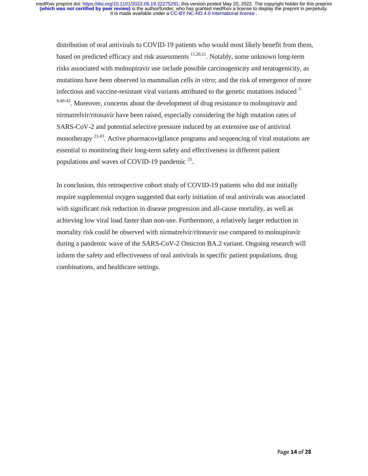distribution of oral antivirals to COVID-19 patients who would most likely benefit from them, based on predicted efficacy and risk assessments 11,20,21. Notably, some unknown long-term risks associated with molnupiravir use include possible carcinogenicity and teratogenicity, as mutations have been observed in mammalian cells *in vitro*; and the risk of emergence of more infectious and vaccine-resistant viral variants attributed to the genetic mutations induced 7- 9,40-42. Moreover, concerns about the development of drug resistance to molnupiravir and nirmatrelvir/ritonavir have been raised, especially considering the high mutation rates of SARS-CoV-2 and potential selective pressure induced by an extensive use of antiviral monotherapy <sup>21,43</sup>. Active pharmacovigilance programs and sequencing of viral mutations are essential to monitoring their long-term safety and effectiveness in different patient populations and waves of COVID-19 pandemic  $21$ .

In conclusion, this retrospective cohort study of COVID-19 patients who did not initially require supplemental oxygen suggested that early initiation of oral antivirals was associated with significant risk reduction in disease progression and all-cause mortality, as well as achieving low viral load faster than non-use. Furthermore, a relatively larger reduction in mortality risk could be observed with nirmatrelvir/ritonavir use compared to molnupiravir during a pandemic wave of the SARS-CoV-2 Omicron BA.2 variant. Ongoing research will inform the safety and effectiveness of oral antivirals in specific patient populations, drug combinations, and healthcare settings.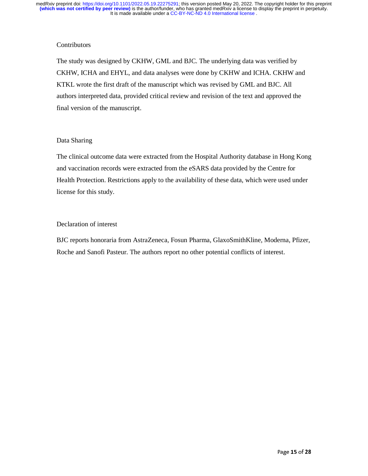### **Contributors**

The study was designed by CKHW, GML and BJC. The underlying data was verified by CKHW, ICHA and EHYL, and data analyses were done by CKHW and ICHA. CKHW and KTKL wrote the first draft of the manuscript which was revised by GML and BJC. All authors interpreted data, provided critical review and revision of the text and approved the final version of the manuscript.

### Data Sharing

The clinical outcome data were extracted from the Hospital Authority database in Hong Kong and vaccination records were extracted from the eSARS data provided by the Centre for Health Protection. Restrictions apply to the availability of these data, which were used under license for this study.

### Declaration of interest

BJC reports honoraria from AstraZeneca, Fosun Pharma, GlaxoSmithKline, Moderna, Pfizer, Roche and Sanofi Pasteur. The authors report no other potential conflicts of interest.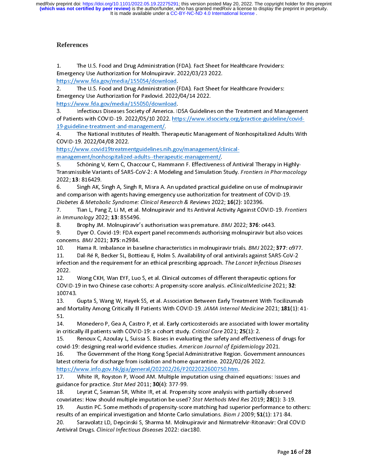It is made available under a [CC-BY-NC-ND 4.0 International license](http://creativecommons.org/licenses/by-nc-nd/4.0/) . **(which was not certified by peer review)** is the author/funder, who has granted medRxiv a license to display the preprint in perpetuity. medRxiv preprint doi: [https://doi.org/10.1101/2022.05.19.22275291;](https://doi.org/10.1101/2022.05.19.22275291) this version posted May 20, 2022. The copyright holder for this preprint

## **References**

 $1<sub>1</sub>$ 

1. The U.S. Food and Drug Administration (FDA). Fact Sheet for Healthcare Providers:<br>
Emergency Use Authorization for Molnupiravir. 2022/03/23 2022.<br>
https://www.fda.gov/media/155054/download.<br>
2. The U.S. Food and Drug Ad https://www.fda.gov/media/155054/download.<br>2. The U.S. Food and Drug Administration (FDA). Fact Sheet for Persency Use Authorization for Paxlovid. 2022/04/14 2022.<br>https://www.fda.gov/media/155050/download.<br>3. Infectious D

Emergency Use Authorization for Paxlovid. 2022/04/14 2022.<br>
https://www.fda.gov/media/155050/download.<br>
3. Infectious Diseases Society of America. IDSA Guidelines on the Treatment and Management<br>
of Patients with COVID-19. 2. The U.S. Food and Drug Administration for Paxlovid. 2022/04/14 2022.<br>
2. The U.S. Martin S. Martin Cover of America. IDSA Guidelines on the Treatment and Man<br>
2. Infectious Diseases Society of America. IDSA Guidelines o Emergency Words, 2022<br>
https://www.fda.gov/media/155050/download.<br>
3. Infectious Diseases Society of America. IDSA Guideline<br>
of Patients with COVID-19. 2022/05/10 2022. https://www.ids<br>
19-guideline-treatment-and-manageme matrices/mediatry media/1570-2022<br>
19-guideline-treatment-and-management/<br>
19-guideline-treatment-and-management/<br>
19-guideline-treatment-and-management/<br>
19-guideline-treatment-and-management/<br>
19. The National Institutes of Patients with COVID-19. 2022/05/10 2022. <u>https://www.idsociety.org/practice-guideline/covid-<br>19-guideline-treatment-and-management/.<br>4. The National Institutes of Health. Therapeutic Management of Nonhospitaliz</u>

of Patients with Covid-19. Patients with Covid-19. 2022. https://www.idsociety.org/practice-guideline/covid-guideline/covid-2022. A Medicine-guideline-guideline-guideline-guideline-guideline-guideline-guideline-guideline-g 19-guideline-treatment-and-management/. 4. COVID-19. 2022/04/08 2022.<br>
https://www.covid19treatmentguidelines.nih.gov/management/clinical-<br>
management/nonhospitalized-adults--therapeutic-management/.<br>
5. Schöning V, Kern C, Chaccour C, Hammann F. Effectiveness o https://www.covid19treatme<br>
management/nonhospitalized<br>
5. Schöning V, Kern C, C<br>
Transmissible Variants of SAR<br>
2022; 13: 816429.<br>
6. Singh AK, Singh A, Singh management of Schöning V, Kern C, Chaccour C, Hammann F. Effectiveness<br>Transmissible Variants of SARS-CoV-2: A Modeling and Simulation 1<br>2022; 13: 816429.<br>6. Singh AK, Singh A, Singh R, Misra A. An updated practical g<br>and

Transmissible Variants of SARS-CoV-2: A Modeling and Simulation Study. *Frontiers in Pharmacology*<br>2022; 13: 816429.<br>6. Singh AK, Singh A, Singh R, Misra A. An updated practical guideline on use of molnupiravir<br>and compari 2022<br>
2022<br>
2023<br>
2022<br>
2022<br>
2022<br>
2022<br>
2022<br>
2022<br>
2022<br>
2022<br>
2022<br>
2022<br>
2022<br>
2023<br>
2022<br>
2023

and comparison with agents having emergency use authorization for treatment of COVID-19.<br>Diabetes & Metabolic Syndrome: Clinical Research & Reviews 2022; 16(2): 102396.<br>7. Tian L, Pang Z, Li M, et al. Molnupiravir and Its 7. Tian L, Pang Z, Li M, et al. Molnupiravir and Its Antiviral Activity Against COVID-19. Frontiers in Immunology 2022; 13: 855496. and comparison with agents having emergency use authorization for treatment of COVID-19.<br>
Diabetes & Metabolic Syndrome: Clinical Research & Reviews 2022; 16(2): 102396.<br>
7. Tian L, Pang Z, Li M, et al. Molnupiravir and It Diabetes & Metabolic Syndrome: Clinical Research & Neviews 2022; 16(2): 102396.<br>
7. Tian L, Pang Z, Li M, et al. Molnupiravir and Its Antiviral Activity Against CO'<br>
in Immunology 2022; 13: 855496.<br>
8. Brophy JM. Molnupir

*I. Tian L, Pang 2, Li M, et al. Molnupiravir and its Antiviral Activity Against COVID-19. Fromers*<br> *in Immunology* 2022; **13**: 855496.<br>
8. Brophy JM. Molnupiravir's authorisation was premature. *BMJ* 2022; **376**: 0443.<br>

m minimology 2022, 13: 835496.<br>8. Brophy JM. Molnupiravir's<br>9. Dyer O. Covid-19: FDA exp<br>concerns. *BMJ* 2021; 375: n2984.<br>10. Hama R. Imbalance in bass<br>11. Dal-Ré R, Becker SL, Bottie<br>infection and the requirement for 8. Brophy JM. Momaphawr 3 authorisation was premature. BMJ 2022, 376: 0443.<br>
9. Brophy JM. Momaphawr 3 authorisation was premature. BMJ 2022; 376: 0443.<br>
10. Hama R. Imbalance in baseline characteristics in molnupiravir tr 9. Concerns. *BMJ* 2021; **375**: n2984.<br>
9. Hama R. Imbalance in baseline characteristics in molnupiravir trials. *BMJ* 2022; **377**: o977.<br>
11. Dal-Ré R, Becker SL, Bottieau E, Holm S. Availability of oral antivirals agains concerns. BMJ 2021; 373: n2364.<br>10. Hama R. Imbalance in bas<br>11. Dal-Ré R, Becker SL, Bottie<br>infection and the requirement for<br>2022. Wong CKH, Wan EYF, Luo<br>COVID-19 in two Chinese case cor 11. Dal-Ré R, Becker SL, Bottieau E, Holm S. Availability of oral antivirals against SARS-CoV-2<br>infection and the requirement for an ethical prescribing approach. The Lancet Infectious Diseases<br>2022.<br>12. Wong CKH, Wan EYF,

11. Takin'in particular product in the maintain of the lancet Infectious Disease.<br>12. Wong CKH, Wan EYF, Luo S, et al. Clinical outcomes of different therapeutic options for<br>12. Wong CKH, Wan EYF, Luo S, et al. Clinical ou infection and the requirement for an ethical prescribing approach. The Lancet infectious Diseases<br>2022.<br>12. Mong CKH, Wan EYF, Luo S, et al. Clinical outcomes of different therapeutic options for<br>COVID-19 in two Chinese ca 12.<br>COVID<br>10074<br>13.<br>and M<br>51.

COVID-19 in two Chinese case cohorts: A propensity-score analysis. *eClinicalMedicine* 2021; **32**:<br>100743. Gupta S, Wang W, Hayek SS, et al. Association Between Early Treatment With Tocilizum<br>and Mortality Among Critically COVID-19 in two Chinese case cohorts: A propensity-score analysis. eclinicalMedicine 2021; 32:<br>100743.<br>13. Gupta S, Wang W, Hayek SS, et al. Association Between Early Treatment With Tocilizum<br>and Mortality Among Critically 13. (<br>
and Mor<br>
51. <br>
14. P<br>
in critica<br>
15. P<br>
and 10 and Mortality Among Critically Ill Patients With COVID-19. JAMA Internal Medicine 2021; 181(1): 4:<br>51.<br>14. Monedero P, Gea A, Castro P, et al. Early corticosteroids are associated with lower mortality<br>in critically ill pat

and Mortality Among Critically in Fatients With COVID-19. JAMA Internal Medicine 2021, 181(1): 41-<br>
14. Monedero P, Gea A, Castro P, et al. Early corticosteroids are associated with lower mortality<br>
in critically ill patie

- -<br>14.<br>in c<br>15.<br>cov<br>16.<br>late 14. Moneta P, Moneta P, Moneta P, Moneta A, Critical Care 2021; 25(1): 2.<br>
15. Renoux C, Azoulay L, Suissa S. Biases in evaluating the safety and effectiveness of drugs for<br>
16. The Government of the Hong Kong Special Admi in critically ill patients with COVID-19: a cohort study. Critical Care 2021; 25(1): 2.<br>15. Renoux C, Azoulay L, Suissa S. Biases in evaluating the safety and effectiveness of drugs for<br>covid-19: designing real-world evide 2013. The Government of the Hong Kong Special Administrative Region. Government announces<br>16. The Government of the Hong Kong Special Administrative Region. Government announces<br>18. The Government of the Hong Kong Special covid-19: designing real-world evidence studies. American Journal of Epidemiology 2021.<br>16. The Government of the Hong Kong Special Administrative Region. Government and<br>latest criteria for discharge from isolation and hom atest criteria for discharge from isolation and home quarantine. 2022/02/26 2022.<br>
https://www.info.gov.hk/gia/general/202202/26/P2022022600750.htm.<br>
17. White IR, Royston P, Wood AM. Multiple imputation using chained equa

https://www.info.gov.hk/gia/general/202202/26/P2022022600750.htm.<br>17. White IR, Royston P, Wood AM. Multiple imputation using chained equation<br>guidance for practice. *Stat Med* 2011; **30**(4): 377-99.<br>18. Leyrat C, Seaman S matrix 1983. White IR, Royston P, Wood AM. Multiple imputation using chaine<br>guidance for practice. *Stat Med* 2011; **30**(4): 377-99.<br>18. Leyrat C, Seaman SR, White IR, et al. Propensity score analysis wit<br>covariates: How s guidance for practice. *Stat Med* 2011; **30**(4): 377-99.<br>18. Leyrat C, Seaman SR, White IR, et al. Propensity score analysis with partially observed<br>covariates: How should multiple imputation be used? *Stat Methods Med Res* guidance for practice. Stat Med 2011, 30(4): 377-99.<br>18. Leyrat C, Seaman SR, White IR, et al. Propens<br>covariates: How should multiple imputation be used?<br>19. Austin PC. Some methods of propensity-scor<br>results of an empiri

covariates: How should multiple imputation be used? *Stat Methods Med Res* 2019; **28**(1): 3-19<br>19. Austin PC. Some methods of propensity-score matching had superior performance to<br>results of an empirical investigation and covariates: How should multiple imputation be used? Stat Methods Med Res 2019, 20(1): 3-19.<br>19. Austin PC. Some methods of propensity-score matching had superior performance to ot<br>results of an empirical investigation and 19. The sults of an empirical investigation and Monte Carlo simulations. *Biom J* 2009; **51**(1): 171-84.<br>20. Saravolatz LD, Depcinski S, Sharma M. Molnupiravir and Nirmatrelvir-Ritonavir: Oral COVID<br>Antiviral Drugs. *Clini* 20. Saravolatz LD, Depcinski S, Sharma M. Molnupiravir and Nirmatrelvir-Ritonavir: Oral COVID<br>Antiviral Drugs. *Clinical Infectious Diseases* 2022: ciac180.<br>Page 16 of 28 20. Santiviral Drugs. *Clinical Infectious Diseases* 2022: ciac180.<br>
Page 16 of 2 Antiviral Drugs. Clinical Infectious Diseases 2022: ciac180.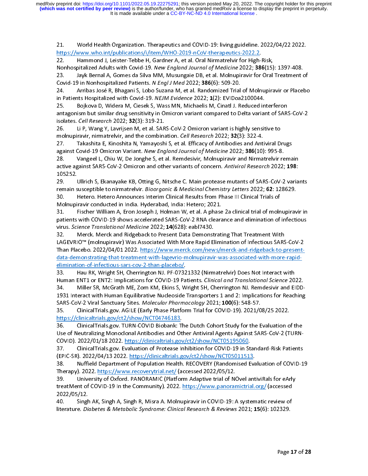It is made available under a [CC-BY-NC-ND 4.0 International license](http://creativecommons.org/licenses/by-nc-nd/4.0/) . **(which was not certified by peer review)** is the author/funder, who has granted medRxiv a license to display the preprint in perpetuity. medRxiv preprint doi: [https://doi.org/10.1101/2022.05.19.22275291;](https://doi.org/10.1101/2022.05.19.22275291) this version posted May 20, 2022. The copyright holder for this preprint

 $21.$ 

21. World Health Organization. Therapeutics and COVID-19: living guideline. 2022/04/22 2022.<br>
22. Hammond J, Leister-Tebbe H, Gardner A, et al. Oral Nirmatrelvir for High-Risk,<br>
23. Hammond J, Leister-Tebbe H, Gardner A, e Hammond J, Leister-Tebbe H, Gardner A, et al. Oral Nirmatrelvir for High-<br>Nonhospitalized Adults with Covid-19. New England Journal of Medicine 2022; 38<br>23. Jayk Bernal A, Gomes da Silva MM, Musungaie DB, et al. Molnupirav Nonhospitalized Adults with Covid-19. *New England Journal of Medicine* 2022; **386**(15)<br>23. Jayk Bernal A, Gomes da Silva MM, Musungaie DB, et al. Molnupiravir for Oral<br>Covid-19 in Nonhospitalized Patients. *N Engl J Med*

Nonhospitalized Adults with Covid-19. New England Journal of Medicine 2022, 386(15). 1397-408.<br>23. Jayk Bernal A, Gomes da Silva MM, Musungaie DB, et al. Molnupiravir for Oral Treatment c<br>Covid-19 in Nonhospitalized Patien Covid-19 in Nonhospitalized Patients. *N Engl J Med* 2022; **386**(6): 509-20.<br>24. Arribas José R, Bhagani S, Lobo Suzana M, et al. Randomized Trial of Molnupiravir or Placebo<br>in Patients Hospitalized with Covid-19. *NEJM Ev* Covid-19 in Nonhospitalized Tatients. *N Engl 3 Med 2022*, **386**(6): 309-20.<br>24. Arribas José R, Bhagani S, Lobo Suzana M, et al. Randomized Trial<br>in Patients Hospitalized with Covid-19. *NEJM Evidence* 2022; 1(2): EVIDoa. 25. Bojkova D, Widera M, Ciesek S, Wass MN, Michaelis M, Cinatl J. Reduced interferon<br>25. Bojkova D, Widera M, Ciesek S, Wass MN, Michaelis M, Cinatl J. Reduced interferon<br>25. Bojkova D, Widera M, Ciesek S, Wass MN, Michae in Fatients Hospitalized with Covid-19. *W23W Evidence 2022*; 2(2): EviDoa2100044.<br>25. Bojkova D, Widera M, Ciesek S, Wass MN, Michaelis M, Cinatl J. Reduced in<br>antagonism but similar drug sensitivity in Omicron variant co antagonism but similar drug sensitivity in Omicron variant compared to Delta variant of SAR!<br>
isolates. *Cell Research* 2022; **32**(3): 319-21.<br>
26. Li P, Wang Y, Lavrijsen M, et al. SARS-CoV-2 Omicron variant is highly sen

isolates. *Cell Research* 2022; **32**(3): 319-21.<br>26. Li P, Wang Y, Lavrijsen M, et al. SARS-CoV-2 Omicron variant is highly sensitive to<br>molnupiravir, nirmatrelvir, and the combination. *Cell Research* 2022; **32**(3): 322-4

Solates. Cell Research 2022, 32(3): 319-21.<br>26. Li P, Wang Y, Lavrijsen M, et al. SAR<br>molnupiravir, nirmatrelvir, and the combina<br>27. Takashita E, Kinoshita N, Yamayosh<br>against Covid-19 Omicron Variant. New Eng<br>28. Vangeel 26. Lillish S. Fliancular V.P. Other G. Nitrols G. Mair unstead and Antiviral Diagninst Covid-19 Omicron Variant. New England Journal of Medicine 2022; 326(10): 995-8<br>28. Covid-19 Omicron Variant. New England Journal of Me molnuphravir, infinationir, and the combination. Cell Research 2022, 32(3): 322-4.<br>27. Takashita E, Kinoshita N, Yamayoshi S, et al. Efficacy of Antibodies and Anti<br>against Covid-19 Omicron Variant. New England Journal of against Covid-19 Omicron Variant. New England Journal of Medicine 2022; **386**(10): 995-8.<br>28. Vangeel L, Chiu W, De Jonghe S, et al. Remdesivir, Molnupiravir and Nirmatrelvir rema<br>active against SARS-CoV-2 Omicron and othe against Covid-19 Omicron Variant. New England Journal of Medicine 2022, 386(10): 999-8.<br>28. Vangeel L, Chiu W, De Jonghe S, et al. Remdesivir, Molnupiravir and Nirmatrelvir re<br>active against SARS-CoV-2 Omicron and other va active against SARS-CoV-2 Omicron and other variants of concern. *Antiviral Research* 2022; **198**:<br>105252.<br>29. Ullrich S, Ekanayake KB, Otting G, Nitsche C. Main protease mutants of SARS-CoV-2 varia<br>remain susceptible to n

105252.<br>29. Ullrich S, Ekanayake KB, Otting G, Nitsche C. Main protease mutants of SARS-CoV-2 variants<br>remain susceptible to nirmatrelvir. *Bioorganic & Medicinal Chemistry Letters* 2022; **62**: 128629.<br>30. Hetero. Hetero A remain susceptible to nirmatrelvir. Bioorganic & Medicinal Chemistry Letters 2022; 62: 128629.

31. Fischer William A, Eron Joseph J, Holman W, et al. A phase 2a clinical trial of molnupiravir in<br>patients with COVID-19 shows accelerated SARS-CoV-2 RNA clearance and elimination of infectious<br>virus. Science Translation remain susceptible to immatrelvir. Bioorgame & Medicinal Chemistry Letters 2022, 62: 128625.<br>
30. Hetero. Hetero Announces Interim Clinical Results from Phase III Clinical Trials of<br>
Molnupiravir conducted in India. Hydera Molnupiravir conducted in India. Hyderabad, India: Hetero; 2021.<br>31. Fischer William A, Eron Joseph J, Holman W, et al. A phase 2a clinical trial of moln<br>patients with COVID-19 shows accelerated SARS-CoV-2 RNA clearance an

virus. *Science Translational Medicine* 2022; **14** (628): eabl7430.<br>32. Merck. Merck and Ridgeback to Present Data Demonstrating That Treatment With<br>LAGEVRIO™ (molnupiravir) Was Associated With More Rapid Eliminat patients with COVID-19 shows accelerated SARS-CoV-2 RNA clearance and elimination of infectious<br>virus. *Science Translational Medicine* 2022; 14(628): eabl7430.<br>32. Merck. Merck and Ridgeback to Present Data Demonstrating patients Science Translational Medicine 2022; 14(628): eabl7430.<br>
32. Merck. Merck and Ridgeback to Present Data Demonstrating That Treatment With<br>
LAGEVRIO™ (molnupiravir) Was Associated With More Rapid Elimination of In virus. Science Translational Medicine 2022, 14(628): eably430.<br>
32. Merck. Merck and Ridgeback to Present Data Demonst<br>
LAGEVRIO™ (molnupiravir) Was Associated With More Rapid El<br>
Than Placebo. 2022/04/01 2022. https://ww LAGEVRIO™ (molnupiravir) Was Associated With More Rapid Elimination of Infectious SARS<br>Than Placebo. 2022/04/01 2022. <u>https://www.merck.com/news/merck-and-ridgeback-to-p</u><br>data-demonstrating-that-treatment-with-lagevrio-m Than Placebo. 2022/04/01 2022. https://www.merck.com/news/merck-and-ridgeback-to-present-<br>
data-demonstrating-that-treatment-with-lagevrio-molnupiravir-was-associated-with-more-rapid-<br>
elimination-of-infectious-sars-cov-2-

1931 Interact with Human Equilibrative Nucleoside Transporters 1 and 2: Implications for Reaching<br>SARS-CoV-2 Viral Sanctuary Sites. Molecular Pharmacology 2021; 100(6): 548-57. **Elimination-of-infection-of-infection-of-infection-of-inference Haunah ENT1 or ENT2: Implications for COVID-19 Pa<br>1931 Interact with Human Equilibrative Nucleoside<br>1931 Interact with Human Equilibrative Nucleoside<br>SARS-Co** Human ENT1 or ENT2: Implications for COVID-19 Patients. *Clinical and Translational Science* 20:<br>34. Miller SR, McGrath ME, Zorn KM, Ekins S, Wright SH, Cherrington NJ. Remdesivir and EI<br>1931 Interact with Human Equilibrat 34. Miller SR, McGrath ME, Zorn KM, Ekins S, Wright SH, Cherrington NJ. Remdesivir and EIDD-<br>1931 Interact with Human Equilibrative Nucleoside Transporters 1 and 2: Implications for Reaching<br>SARS-CoV-2 Viral Sanctuary Site

35. ClinicalTrials.gov. AGILE (Early Phase Platform Trial for COVID-19). 2021/08/25 2022.

 $35.94$ . Michael Miller Monocolonial Although Sh and Eine Sh and Miller Sh and EOV 2 (TOMY) SARS-CoV-2 Viral Sanctuary Sites. *Molecular Pharmacology* 2021; 100(6): 548-57.<br>
35. ClinicalTrials.gov. AGILE (Early Phase Platform Trial for COVID-19). 2021/08/25 2022.<br>
https://clinicalTrials.gov.ct2/show/NCT04746183.<br> SARS-Cov-2 Viral Sanctuary Sites. Molecular Pharmacology 2021, 100(0). 348-57.<br>
35. ClinicalTrials.gov. AGILE (Early Phase Platform Trial for COVID-19). 2021/0<br>
https://clinicalTrials.gov. TURN-COVID Biobank: The Dutch Coh 1115.//clinicaltrials.gov/ct2/show/NCT04746183.<br>36. ClinicalTrials.gov. TURN-COVID Biobank: The Dutch Cohort Study for the Evaluation of<br>35. ClinicalTrials.gov. TURN-COVID Biobank: The Dutch Cohort Study for the Evaluation 1986. ClinicalTrials.gov. TURN-COVID Biobank: T<br>Use of Neutralizing Monoclonal Antibodies and Ot<br>COVID). 2022/01/18 2022. https://clinicaltrials.gov<br>37. ClinicalTrials.gov. Evaluation of Protease Ir<br>(EPIC-SR). 2022/04/13 2 36. ClinicalTrials.gov. ClinicalTrials.gov/ct2/show/NCT05195060.<br>37. ClinicalTrials.gov. Evaluation of Protease Inhibition for COVID-19 in Standard-Risk Patients<br>37. ClinicalTrials.gov. Evaluation of Protease Inhibition fo

Use of Neutralizing Monoclonal Anti-Division Monoclonal Anti-Other Anti-Other Antiviral Agents Against Sars-Co<br>Insert Mont of COVID-10 in the Community), 2002, https://www.non.non.non.non.it.il... ClinicalTrials.gov. Evaluation of Protease Inhibition for COVID-19 in St.<br>(EPIC-SR). 2022/04/13 2022. <u>https://clinicaltrials.gov/ct2/show/NCT05011513</u><br>38. Nuffield Department of Population Health. RECOVERY (Randomised E<br>T (EPIC-SR). 2022/04/13 2022. <u>https://clinicaltrials.gov/ct2/show/NCT05011513</u>.<br>38. Nuffield Department of Population Health. RECOVERY (Randomised Evaluation of COVID-1<br>Therapy). 2022. <u>https://www.recoverytrial.net/</u> (acce (EPIC-SR). 2022. https://www.recoverytrial.net/ (accessed 2022/05/12.<br>Therapy). 2022. https://www.recoverytrial.net/ (accessed 2022/05/12.<br>39. University of Oxford. PANORAMIC (Platform Adaptive trial of NOvel ant<br>treatMent Therapy). 2022. <u>https://www.recoverytrial.net/</u> (accessed 2022/05/12.<br>39. University of Oxford. PANORAMIC (Platform Adaptive trial of NOvel antiviRals for eArly<br>treatMent of COVID-19 In the Community). 2022. <u>https:</u> Therapy). 2022. https://www.panorateutherapy.com/<br>Therapy). 2022. https://www.panorar<br>2022/05/12. Singh AK, Singh A, Singh R, Misra A. Molnupiravir in COVID-19: 4<br>10. Singh AK, Singh A, Singh R, Misra A. Molnupiravir in CO 39. TreatMent of COVID-19 In the Community). 2022. https://www.panoramictrial.org/ (accessed<br>2022/05/12. Singh AK, Singh A, Singh R, Misra A. Molnupiravir in COVID-19: A systematic review of<br>literature. Diabetes & Metaboli

1022/05/12.<br>40. Singh AK, Singh A, Singh R, Misra A. Molnupiravir in COVID-19: A systematic review of<br>literature. *Diabetes & Metabolic Syndrome: Clinical Research & Reviews* 2021; **15** (6): 102329. 40. Singh<br>literature. Die<br>literature. Die 40. literature. *Diabetes & Metabolic Syndrome: Clinical Research & Reviews* 2021; 15(6): 102329.<br>Page 1 literature. Diabetes & Metabolic Syndrome: Clinical Research & Reviews 2021; 15(6): 102329.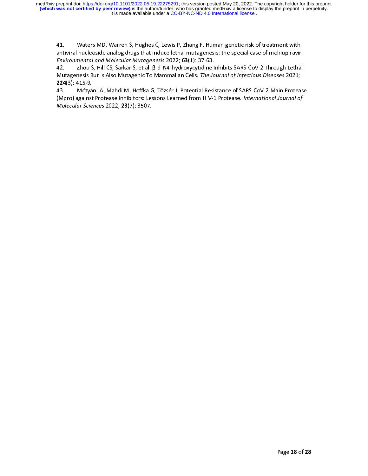41.

41. Waters MD, Warren S, Hughes C, Lewis P, Zhang F. Human genetic risk of treatment with<br>antiviral nucleoside analog drugs that induce lethal mutagenesis: the special case of molnupiravir.<br>*Environmental and Molecular Mu* Environmental and Molecular Mutagenesis 2022; 63(1): 37-63.<br>42. Zhou S, Hill CS, Sarkar S, et al. β-d-N4-hydroxycytidine Inhibits SARS-CoV-2 Through Lethal<br>Mutagenesis But Is Also Mutagenic To Mammalian Cells. *The Journal* Environmental and Molecular Mutagenesis 2022, **03**(1): 37-63.<br>42. Zhou S, Hill CS, Sarkar S, et al. β-d-N4-hydroxycytidine I<br>Mutagenesis But Is Also Mutagenic To Mammalian Cells. *The Jo*<br>**224**(3): 415-9.<br>(Mpro) against P

42. Zhou S, Andrew S, Andrew S, Champel and S, The Maryland Cells. The Journal of Infectious Diseases 2021;<br>224(3): 415-9.<br>43. Mótyán JA, Mahdi M, Hoffka G, Tőzsér J. Potential Resistance of SARS-CoV-2 Main Proteas<br>(Mpro) Mutagenesis But Is Also Mutagenic To Mammalian Cells. The Journal of Infectious Diseases 2021,<br>224(3): 415-9.<br>43. Mótyán JA, Mahdi M, Hoffka G, Tőzsér J. Potential Resistance of SARS-CoV-2 Main Protea<br>(Mpro) against Protea Molecular Sciences 2022; 23(7): 3507. (Mpro) against Protease Inhibitors: Lessons Learned from HIV-1 Protease. *International Journal of*<br>Molecular Sciences 2022; **23**(7): 3507.<br> (Mpro) against Protease Inhibitors: Lessons Learned from HIV-1 Protease. *International Journal of*<br>Molecular Sciences 2022; **23**(7): 3507.  $Molecular 3cences 2022, 23(7).$  3507.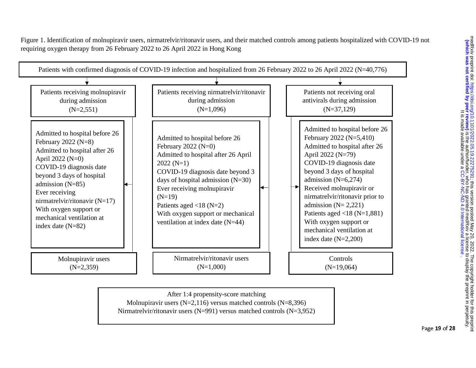Figure 1. Identification of molnupiravir users, nirmatrelvir/ritonavir users, and their matched controls among patients hospitalized with COVID-19 not requiring oxygen therapy from 26 February 2022 to 26 April 2022 in Hong Kong



After 1:4 propensity-score matching Molnupiravir users (N=2,116) versus matched controls (N=8,396) Nirmatrelvir/ritonavir users (N=991) versus matched controls (N=3,952) medRxiv preprint doi: https://doi.org/10.1101/2022.05.19.22222.25291; this version posted May 20, 2022. The copyright holder for this preprim<br>(which was not certified by peer review) is the author/funder, who has granted m The copyright holder for this prepriate to 10.2022. [;](https://doi.org/10.1101/2022.05.19.22275291) https://doi.org/2022.09.19.2227.09.2022. ; https://doi.org/10.1101/2022.07.2227.222.05.09.2022.05. ; https://doi.org/10.111010007.jp/ **is the author who has grant is the author/funder, who has granted medRxiv a license to display the preprint in perpetuity.** . [CC-BY-NC-ND 4.0 International license](http://creativecommons.org/licenses/by-nc-nd/4.0/) It is made available under a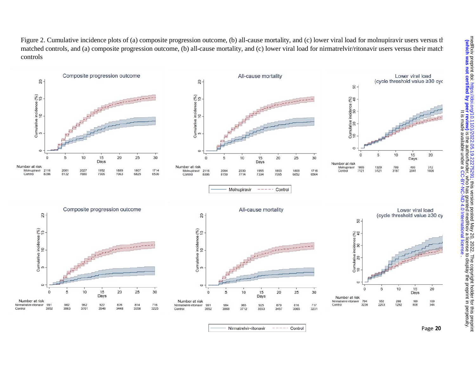Figure 2. Cumulative incidence plots of (a) composite progression outcome, (b) all-cause mortality, and (c) lower viral load for molnupiravir users versus the matched controls, and (a) composite progression outcome, (b) all-cause mortality, and (c) lower viral load for nirmatrelvir/ritonavir users versus their match controls

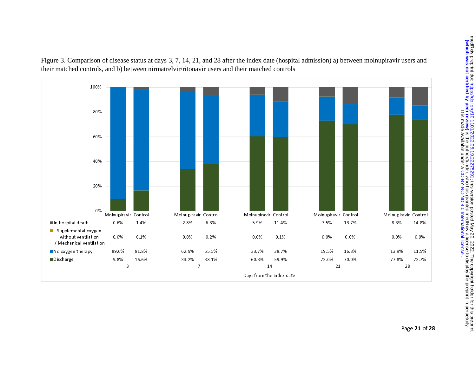

Figure 3. Comparison of disease status at days 3, 7, 14, 21, and 28 after the index date (hospital admission) a) between molnupiravir users and their matched controls, and b) between nirmatrelvir/ritonavir users and their matched controls

medRxiv preprint doi: https://doi.org/10.1101/2022.05.19.2227527531; this version posted May 20, 2022. The copyright holder for this preprint<br>(which was not certified by peer review) is the author/funder, who has granted m The copyright holder for this prepriate to 10.2022. [;](https://doi.org/10.1101/2022.05.19.22275291) https://doi.org/2022.09.19.2227.09.2022. ; https://doi.org/10.1101/2022.07.2227.222.05.09.2022.05. ; https://doi.org/10.111010007.jp/ who has granted by perfact in the author/funder, who has granted medRxix a license to display the preprint in perpetuity. . [CC-BY-NC-ND 4.0 International license](http://creativecommons.org/licenses/by-nc-nd/4.0/) It is made available under a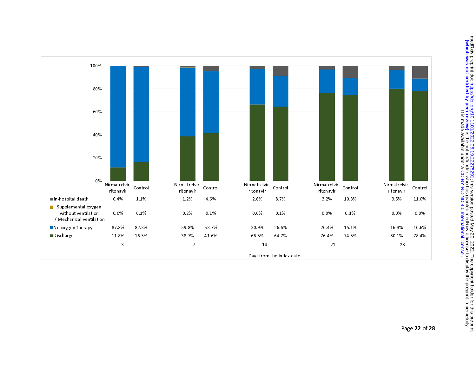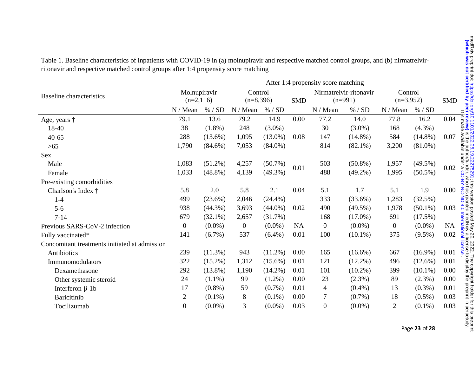|                                               | After 1:4 propensity score matching |            |                        |            |            |                |                        |                  |            |            |  |
|-----------------------------------------------|-------------------------------------|------------|------------------------|------------|------------|----------------|------------------------|------------------|------------|------------|--|
| <b>Baseline</b> characteristics               | Molnupiravir<br>$(n=2,116)$         |            | Control<br>$(n=8,396)$ |            | <b>SMD</b> |                | Nirmatrelvir-ritonavir | Control          |            |            |  |
|                                               |                                     |            |                        |            |            | $(n=991)$      |                        | $(n=3,952)$      |            | <b>SMD</b> |  |
|                                               | N/Mean                              | % / SD     | N / Mean               | $\%$ / SD  |            | N/Mean         | % / SD                 | N / Mean         | % / SD     |            |  |
| Age, years $\dagger$                          | 79.1                                | 13.6       | 79.2                   | 14.9       | 0.00       | 77.2           | 14.0                   | 77.8             | 16.2       | 0.04       |  |
| 18-40                                         | 38                                  | $(1.8\%)$  | 248                    | $(3.0\%)$  |            | 30             | $(3.0\%)$              | 168              | $(4.3\%)$  |            |  |
| $40 - 65$                                     | 288                                 | $(13.6\%)$ | 1,095                  | $(13.0\%)$ | 0.08       | 147            | $(14.8\%)$             | 584              | $(14.8\%)$ | 0.07       |  |
| $>65$                                         | 1,790                               | $(84.6\%)$ | 7,053                  | $(84.0\%)$ |            | 814            | $(82.1\%)$             | 3,200            | $(81.0\%)$ |            |  |
| <b>Sex</b>                                    |                                     |            |                        |            |            |                |                        |                  |            |            |  |
| Male                                          | 1,083                               | $(51.2\%)$ | 4,257                  | $(50.7\%)$ | 0.01       | 503            | $(50.8\%)$             | 1,957            | $(49.5\%)$ | 0.02       |  |
| Female                                        | 1,033                               | $(48.8\%)$ | 4,139                  | $(49.3\%)$ |            | 488            | $(49.2\%)$             | 1,995            | $(50.5\%)$ |            |  |
| Pre-existing comorbidities                    |                                     |            |                        |            |            |                |                        |                  |            |            |  |
| Charlson's Index †                            | 5.8                                 | 2.0        | 5.8                    | 2.1        | 0.04       | 5.1            | 1.7                    | 5.1              | 1.9        | 0.00       |  |
| $1-4$                                         | 499                                 | $(23.6\%)$ | 2,046                  | $(24.4\%)$ |            | 333            | $(33.6\%)$             | 1,283            | (32.5%)    |            |  |
| $5-6$                                         | 938                                 | $(44.3\%)$ | 3,693                  | $(44.0\%)$ | 0.02       | 490            | $(49.5\%)$             | 1,978            | $(50.1\%)$ | 0.03       |  |
| $7 - 14$                                      | 679                                 | $(32.1\%)$ | 2,657                  | (31.7%)    |            | 168            | $(17.0\%)$             | 691              | (17.5%)    |            |  |
| Previous SARS-CoV-2 infection                 | $\overline{0}$                      | $(0.0\%)$  | $\boldsymbol{0}$       | $(0.0\%)$  | <b>NA</b>  | $\overline{0}$ | $(0.0\%)$              | $\boldsymbol{0}$ | $(0.0\%)$  | <b>NA</b>  |  |
| Fully vaccinated*                             | 141                                 | $(6.7\%)$  | 537                    | $(6.4\%)$  | 0.01       | 100            | $(10.1\%)$             | 375              | $(9.5\%)$  | 0.02       |  |
| Concomitant treatments initiated at admission |                                     |            |                        |            |            |                |                        |                  |            |            |  |
| Antibiotics                                   | 239                                 | $(11.3\%)$ | 943                    | $(11.2\%)$ | 0.00       | 165            | $(16.6\%)$             | 667              | $(16.9\%)$ | 0.01       |  |
| Immunomodulators                              | 322                                 | $(15.2\%)$ | 1,312                  | $(15.6\%)$ | 0.01       | 121            | $(12.2\%)$             | 496              | $(12.6\%)$ | 0.01       |  |
| Dexamethasone                                 | 292                                 | $(13.8\%)$ | 1,190                  | $(14.2\%)$ | 0.01       | 101            | $(10.2\%)$             | 399              | $(10.1\%)$ | 0.00       |  |
| Other systemic steroid                        | 24                                  | $(1.1\%)$  | 99                     | $(1.2\%)$  | 0.00       | 23             | $(2.3\%)$              | 89               | $(2.3\%)$  | 0.00       |  |
| Interferon- $\beta$ -1b                       | 17                                  | $(0.8\%)$  | 59                     | $(0.7\%)$  | 0.01       | $\overline{4}$ | $(0.4\%)$              | 13               | $(0.3\%)$  | 0.01       |  |
| <b>Baricitinib</b>                            | $\sqrt{2}$                          | $(0.1\%)$  | $8\,$                  | $(0.1\%)$  | 0.00       | $\tau$         | $(0.7\%)$              | 18               | $(0.5\%)$  | 0.03       |  |
| Tocilizumab                                   | $\mathbf{0}$                        | $(0.0\%)$  | 3                      | $(0.0\%)$  | 0.03       | $\mathbf{0}$   | $(0.0\%)$              | $\overline{2}$   | $(0.1\%)$  | 0.03       |  |
|                                               |                                     |            |                        |            |            |                |                        |                  |            |            |  |

Table 1. Baseline characteristics of inpatients with COVID-19 in (a) molnupiravir and respective matched control groups, and (b) nirmatrelvirritonavir and respective matched control groups after 1:4 propensity score matching

Page 23 of 28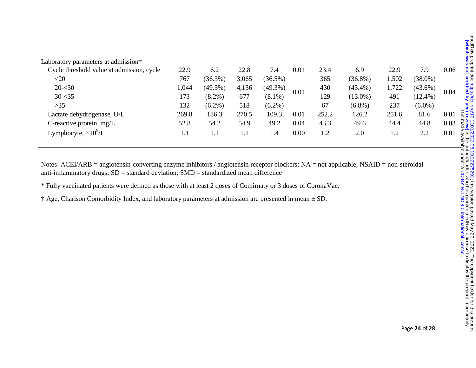| Laboratory parameters at admission†       |         |            |       |            |      |       |            |       |            |      |
|-------------------------------------------|---------|------------|-------|------------|------|-------|------------|-------|------------|------|
| Cycle threshold value at admission, cycle | 22.9    | 6.2        | 22.8  | 7.4        | 0.01 | 23.4  | 6.9        | 22.9  | 7.9        | 0.06 |
| $<$ 20                                    | 767     | $(36.3\%)$ | 3,065 | $(36.5\%)$ |      | 365   | $(36.8\%)$ | ,502  | $(38.0\%)$ |      |
| $20 - 30$                                 | 1,044   | $(49.3\%)$ | 4,136 | $(49.3\%)$ |      | 430   | $(43.4\%)$ | 1,722 | $(43.6\%)$ |      |
| $30 - 35$                                 | 173     | $(8.2\%)$  | 677   | $(8.1\%)$  | 0.01 | 129   | $(13.0\%)$ | 491   | $(12.4\%)$ | 0.04 |
| $\geq$ 35                                 | 132     | $(6.2\%)$  | 518   | $(6.2\%)$  |      | 67    | $(6.8\%)$  | 237   | $(6.0\%)$  |      |
| Lactate dehydrogenase, U/L                | 269.8   | 186.3      | 270.5 | 109.3      | 0.01 | 252.2 | 126.2      | 251.6 | 81.6       | 0.01 |
| C-reactive protein, $mg/L$                | 52.8    | 54.2       | 54.9  | 49.2       | 0.04 | 43.3  | 49.6       | 44.4  | 44.8       | 0.03 |
| Lymphocyte, $\times 10^9$ /L              | $1.1\,$ | 1.1        | 1.1   | 1.4        | 0.00 | 1.2   | 2.0        | 1.2   | 2.2        | 0.01 |

Notes: ACEI/ARB = angiotensin-converting enzyme inhibitors / angiotensin receptor blockers; NA = not applicable; NSAID = non-steroidal anti-inflammatory drugs;  $SD =$  standard deviation;  $SMD =$  standardized mean difference

\* Fully vaccinated patients were defined as those with at least 2 doses of Comirnaty or 3 doses of CoronaVac.

† Age, Charlson Comorbidity Index, and laboratory parameters at admission are presented in mean ± SD.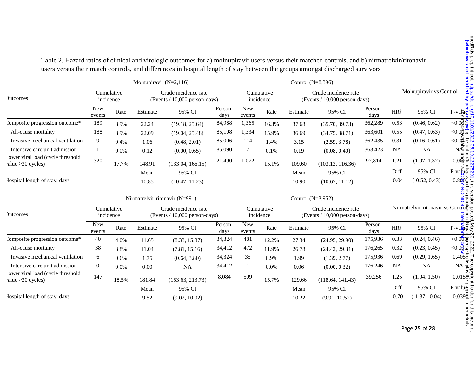|                                                             | Molnupiravir $(N=2,116)$       |       |                                                       |                  |                         |                      |                                                       | Control (N=8,396) |                  |                                  |                 |                  |                                    |
|-------------------------------------------------------------|--------------------------------|-------|-------------------------------------------------------|------------------|-------------------------|----------------------|-------------------------------------------------------|-------------------|------------------|----------------------------------|-----------------|------------------|------------------------------------|
| <b>Jutcomes</b>                                             | Cumulative<br>incidence        |       | Crude incidence rate<br>(Events / 10,000 person-days) |                  | Cumulative<br>incidence |                      | Crude incidence rate<br>(Events / 10,000 person-days) |                   |                  | Molnupiravir vs Control          |                 |                  |                                    |
|                                                             | New<br>events                  | Rate  | Estimate                                              | 95% CI           | Person-<br>days         | <b>New</b><br>events | Rate                                                  | Estimate          | 95% CI           | Person-<br>days                  | HR <sup>+</sup> | 95% CI           | $P$ -va $\text{H}$ e<br><u>ದ ಇ</u> |
| Composite progression outcome*                              | 189                            | 8.9%  | 22.24                                                 | (19.18, 25.64)   | 84,988                  | 1,365                | 16.3%                                                 | 37.68             | (35.70, 39.73)   | 362,289                          | 0.53            | (0.46, 0.62)     | < 0.09                             |
| All-cause mortality                                         | 188                            | 8.9%  | 22.09                                                 | (19.04, 25.48)   | 85,108                  | 1,334                | 15.9%                                                 | 36.69             | (34.75, 38.71)   | 363,601                          | 0.55            | (0.47, 0.63)     | < 0.00                             |
| Invasive mechanical ventilation                             | 9                              | 0.4%  | 1.06                                                  | (0.48, 2.01)     | 85,006                  | 114                  | 1.4%                                                  | 3.15              | (2.59, 3.78)     | 362,435                          | 0.31            | (0.16, 0.61)     | $<$ $0.\circledR$ ନି               |
| Intensive care unit admission                               |                                | 0.0%  | 0.12<br>(0.00, 0.65)                                  |                  | 85,090                  | 7                    | 0.1%                                                  | 0.19              | (0.08, 0.40)     | 363,423                          | <b>NA</b>       | <b>NA</b>        | $N_{\mathbf{e}}^{\mathbf{E}}$      |
| ower viral load (cycle threshold<br>value $\geq$ 30 cycles) | 320                            | 17.7% | 148.91                                                | (133.04, 166.15) | 21,490                  | 1,072                | 15.1%                                                 | 109.60            | (103.13, 116.36) | 97,814                           | 1.21            | (1.07, 1.37)     | $0.0 \times 2$                     |
|                                                             |                                |       | Mean                                                  | 95% CI           |                         |                      |                                                       | Mean              | 95% CI           |                                  | Diff            | 95% CI           | $P$ -va $\mathbf{\overline{p}}$ #  |
| lospital length of stay, days                               |                                |       | 10.85                                                 | (10.47, 11.23)   |                         |                      |                                                       | 10.90             | (10.67, 11.12)   |                                  | $-0.04$         | $(-0.52, 0.43)$  | $0.8\frac{\Omega}{2}$              |
|                                                             | Nirmatrelvir-ritonavir (N=991) |       |                                                       |                  |                         | Control $(N=3,952)$  |                                                       |                   |                  |                                  |                 |                  | $\frac{1}{5}$<br>ara<br>Sa         |
| <b>Jutcomes</b>                                             | Cumulative<br>incidence        |       | Crude incidence rate<br>(Events / 10,000 person-days) |                  | Cumulative<br>incidence |                      | Crude incidence rate<br>(Events / 10,000 person-days) |                   |                  | Nirmatrelvir-ritonavir vs Contro |                 |                  |                                    |
|                                                             | <b>New</b><br>events           | Rate  | Estimate                                              | 95% CI           | Person-<br>days         | <b>New</b><br>events | Rate                                                  | Estimate          | 95% CI           | Person-<br>days                  | HR <sup>+</sup> | 95% CI           | $P-value$                          |
| Composite progression outcome*                              | 40                             | 4.0%  | 11.65                                                 | (8.33, 15.87)    | 34,324                  | 481                  | 12.2%                                                 | 27.34             | (24.95, 29.90)   | 175,936                          | 0.33            | (0.24, 0.46)     | $<$ $0.\overline{\mathbf{Q}}$ 5    |
| All-cause mortality                                         | 38                             | 3.8%  | 11.04                                                 | (7.81, 15.16)    | 34,412                  | 472                  | 11.9%                                                 | 26.78             | (24.42, 29.31)   | 176,265                          | 0.32            | (0.23, 0.45)     | $<$ $0.0$ ម្លិ ឆ្លឹ                |
| Invasive mechanical ventilation                             | 6                              | 0.6%  | 1.75                                                  | (0.64, 3.80)     | 34,324                  | 35                   | 0.9%                                                  | 1.99              | (1.39, 2.77)     | 175,936                          | 0.69            | (0.29, 1.65)     | 0.405 <sub>°</sub>                 |
| Intensive care unit admission                               | $\overline{0}$                 | 0.0%  | 0.00                                                  | <b>NA</b>        | 34,412                  | -1                   | 0.0%                                                  | 0.06              | (0.00, 0.32)     | 176,246                          | <b>NA</b>       | <b>NA</b>        | $NA \frac{6}{5}$                   |
| ower viral load (cycle threshold<br>value $\geq$ 30 cycles) | 147                            | 18.5% | 181.84                                                | (153.63, 213.73) | 8,084                   | 509                  | 15.7%                                                 | 129.66            | (118.64, 141.43) | 39,256                           | 1.25            | (1.04, 1.50)     | $0.015\frac{1}{6}$                 |
|                                                             |                                |       | Mean                                                  | 95% CI           |                         |                      |                                                       | Mean              | 95% CI           |                                  | Diff            | 95% CI           | $P-value$                          |
| Iospital length of stay, days                               |                                |       | 9.52                                                  | (9.02, 10.02)    |                         |                      |                                                       | 10.22             | (9.91, 10.52)    |                                  | $-0.70$         | $(-1.37, -0.04)$ | $0.039\overline{5}$                |
|                                                             |                                |       |                                                       |                  |                         |                      |                                                       |                   |                  |                                  |                 |                  | 7g                                 |

Table 2. Hazard ratios of clinical and virologic outcomes for a) molnupiravir users versus their matched controls, and b) nirmatrelvir/ritonavir users versus their match controls, and differences in hospital length of stay between the groups amongst discharged survivors

Page 25 of 28

is the authoral of the authority. The authory is the preparation of the preparation of the preparation in peer review) in period in period in period in period in period in period in period in period in period in period in The copyright holder for this prepriation of  $20$ , 2022. [;](https://doi.org/10.1101/2022.05.19.22275291) https://doi.org/2020.02.12.2227. ; https://doi.org/101101/2022. ; https://doi.org/2022. ; https://doi.org/2022. ; https://doi.org/2022.07. [17] and doi: medRxiv pr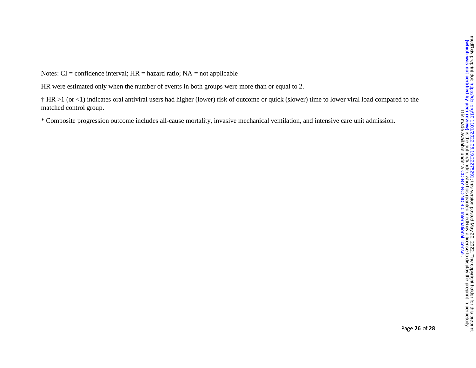Notes:  $CI =$  confidence interval;  $HR =$  hazard ratio;  $NA =$  not applicable

HR were estimated only when the number of events in both groups were more than or equal to 2.

† HR >1 (or <1) indicates oral antiviral users had higher (lower) risk of outcome or quick (slower) time to lower viral load compared to the matched control group.

\* Composite progression outcome includes all-cause mortality, invasive mechanical ventilation, and intensive care unit admission.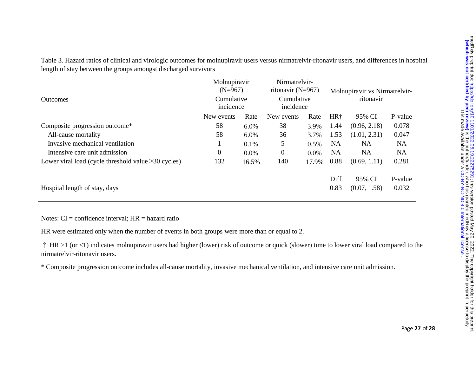| Table 3. Hazard ratios of clinical and virologic outcomes for molnupiravir users versus nirmatrely in-ritonavir users, and differences in hospital |  |
|----------------------------------------------------------------------------------------------------------------------------------------------------|--|
| length of stay between the groups amongst discharged survivors                                                                                     |  |
|                                                                                                                                                    |  |

|                                                           | Molnupiravir<br>$(N=967)$ |       | Nirmatrelvir-<br>ritonavir $(N=967)$ |         | Molnupiravir vs Nirmatrelvir-<br>ritonavir |              |           |  |
|-----------------------------------------------------------|---------------------------|-------|--------------------------------------|---------|--------------------------------------------|--------------|-----------|--|
| <b>Outcomes</b>                                           | Cumulative<br>incidence   |       | Cumulative<br>incidence              |         |                                            |              |           |  |
|                                                           | New events                | Rate  | New events                           | Rate    | HR <sup>+</sup>                            | 95% CI       | P-value   |  |
| Composite progression outcome*                            | 58                        | 6.0%  | 38                                   | 3.9%    | 1.44                                       | (0.96, 2.18) | 0.078     |  |
| All-cause mortality                                       | 58                        | 6.0%  | 36                                   | 3.7%    | 1.53                                       | (1.01, 2.31) | 0.047     |  |
| Invasive mechanical ventilation                           |                           | 0.1%  | 5                                    | 0.5%    | <b>NA</b>                                  | NA           | <b>NA</b> |  |
| Intensive care unit admission                             | $\overline{0}$            | 0.0%  | $\overline{0}$                       | $0.0\%$ | <b>NA</b>                                  | <b>NA</b>    | <b>NA</b> |  |
| Lower viral load (cycle threshold value $\geq$ 30 cycles) | 132                       | 16.5% | 140                                  | 17.9%   | 0.88                                       | (0.69, 1.11) | 0.281     |  |
|                                                           |                           |       |                                      |         | Diff                                       | 95% CI       | P-value   |  |
| Hospital length of stay, days                             |                           |       |                                      |         | 0.83                                       | (0.07, 1.58) | 0.032     |  |

Notes:  $CI =$  confidence interval;  $HR =$  hazard ratio

HR were estimated only when the number of events in both groups were more than or equal to 2.

† HR >1 (or <1) indicates molnupiravir users had higher (lower) risk of outcome or quick (slower) time to lower viral load compared to the nirmatrelvir-ritonavir users.

\* Composite progression outcome includes all-cause mortality, invasive mechanical ventilation, and intensive care unit admission.